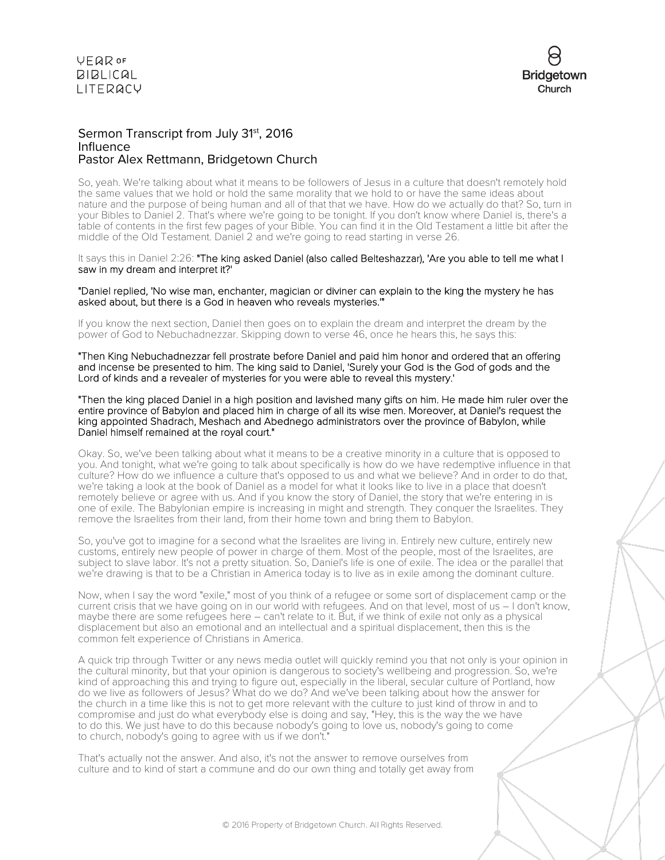

### Sermon Transcript from July 31<sup>st</sup>, 2016 Influence Pastor Alex Rettmann, Bridgetown Church

So, yeah. We're talking about what it means to be followers of Jesus in a culture that doesn't remotely hold the same values that we hold or hold the same morality that we hold to or have the same ideas about nature and the purpose of being human and all of that that we have. How do we actually do that? So, turn in your Bibles to Daniel 2. That's where we're going to be tonight. If you don't know where Daniel is, there's a table of contents in the first few pages of your Bible. You can find it in the Old Testament a little bit after the middle of the Old Testament. Daniel 2 and we're going to read starting in verse 26.

It says this in Daniel 2:26: "The king asked Daniel (also called Belteshazzar), 'Are you able to tell me what I saw in my dream and interpret it?'

"Daniel replied, 'No wise man, enchanter, magician or diviner can explain to the king the mystery he has asked about, but there is a God in heaven who reveals mysteries.'"

If you know the next section, Daniel then goes on to explain the dream and interpret the dream by the power of God to Nebuchadnezzar. Skipping down to verse 46, once he hears this, he says this:

"Then King Nebuchadnezzar fell prostrate before Daniel and paid him honor and ordered that an offering and incense be presented to him. The king said to Daniel, 'Surely your God is the God of gods and the Lord of kinds and a revealer of mysteries for you were able to reveal this mystery.'

"Then the king placed Daniel in a high position and lavished many gifts on him. He made him ruler over the entire province of Babylon and placed him in charge of all its wise men. Moreover, at Daniel's request the king appointed Shadrach, Meshach and Abednego administrators over the province of Babylon, while Daniel himself remained at the royal court."

Okay. So, we've been talking about what it means to be a creative minority in a culture that is opposed to you. And tonight, what we're going to talk about specifically is how do we have redemptive influence in that culture? How do we influence a culture that's opposed to us and what we believe? And in order to do that, we're taking a look at the book of Daniel as a model for what it looks like to live in a place that doesn't remotely believe or agree with us. And if you know the story of Daniel, the story that we're entering in is one of exile. The Babylonian empire is increasing in might and strength. They conquer the Israelites. They remove the Israelites from their land, from their home town and bring them to Babylon.

So, you've got to imagine for a second what the Israelites are living in. Entirely new culture, entirely new customs, entirely new people of power in charge of them. Most of the people, most of the Israelites, are subject to slave labor. It's not a pretty situation. So, Daniel's life is one of exile. The idea or the parallel that we're drawing is that to be a Christian in America today is to live as in exile among the dominant culture.

Now, when I say the word "exile," most of you think of a refugee or some sort of displacement camp or the current crisis that we have going on in our world with refugees. And on that level, most of us – I don't know, maybe there are some refugees here – can't relate to it. But, if we think of exile not only as a physical displacement but also an emotional and an intellectual and a spiritual displacement, then this is the common felt experience of Christians in America.

A quick trip through Twitter or any news media outlet will quickly remind you that not only is your opinion in the cultural minority, but that your opinion is dangerous to society's wellbeing and progression. So, we're kind of approaching this and trying to figure out, especially in the liberal, secular culture of Portland, how do we live as followers of Jesus? What do we do? And we've been talking about how the answer for the church in a time like this is not to get more relevant with the culture to just kind of throw in and to compromise and just do what everybody else is doing and say, "Hey, this is the way the we have to do this. We just have to do this because nobody's going to love us, nobody's going to come to church, nobody's going to agree with us if we don't."

That's actually not the answer. And also, it's not the answer to remove ourselves from culture and to kind of start a commune and do our own thing and totally get away from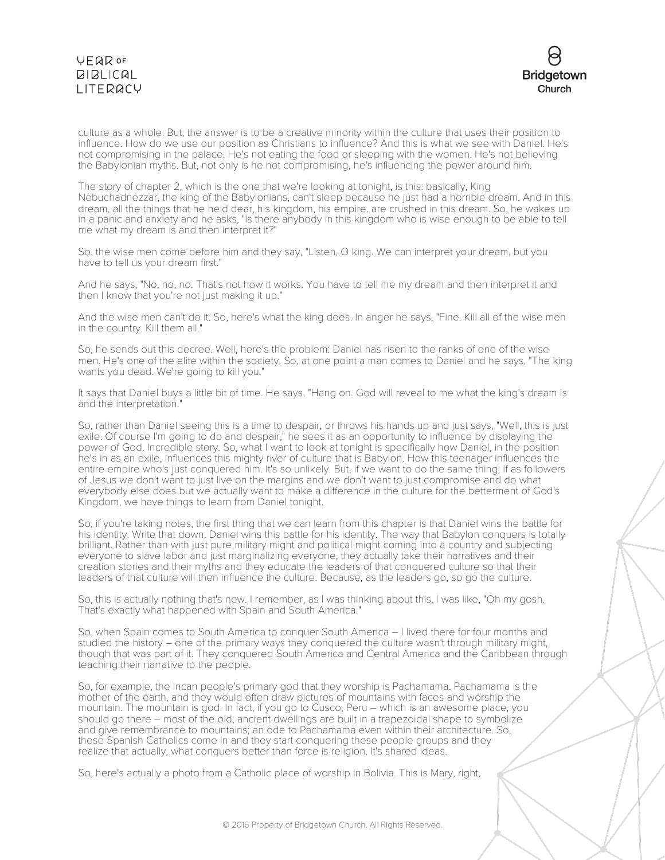

culture as a whole. But, the answer is to be a creative minority within the culture that uses their position to influence. How do we use our position as Christians to influence? And this is what we see with Daniel. He's not compromising in the palace. He's not eating the food or sleeping with the women. He's not believing the Babylonian myths. But, not only is he not compromising, he's influencing the power around him.

The story of chapter 2, which is the one that we're looking at tonight, is this: basically, King Nebuchadnezzar, the king of the Babylonians, can't sleep because he just had a horrible dream. And in this dream, all the things that he held dear, his kingdom, his empire, are crushed in this dream. So, he wakes up in a panic and anxiety and he asks, "Is there anybody in this kingdom who is wise enough to be able to tell me what my dream is and then interpret it?"

So, the wise men come before him and they say, "Listen, O king. We can interpret your dream, but you have to tell us your dream first."

And he says, "No, no, no. That's not how it works. You have to tell me my dream and then interpret it and then I know that you're not just making it up."

And the wise men can't do it. So, here's what the king does. In anger he says, "Fine. Kill all of the wise men in the country. Kill them all."

So, he sends out this decree. Well, here's the problem: Daniel has risen to the ranks of one of the wise men. He's one of the elite within the society. So, at one point a man comes to Daniel and he says, "The king wants you dead. We're going to kill you."

It says that Daniel buys a little bit of time. He says, "Hang on. God will reveal to me what the king's dream is and the interpretation."

So, rather than Daniel seeing this is a time to despair, or throws his hands up and just says, "Well, this is just exile. Of course I'm going to do and despair," he sees it as an opportunity to influence by displaying the power of God. Incredible story. So, what I want to look at tonight is specifically how Daniel, in the position he's in as an exile, influences this mighty river of culture that is Babylon. How this teenager influences the entire empire who's just conquered him. It's so unlikely. But, if we want to do the same thing, if as followers of Jesus we don't want to just live on the margins and we don't want to just compromise and do what everybody else does but we actually want to make a difference in the culture for the betterment of God's Kingdom, we have things to learn from Daniel tonight.

So, if you're taking notes, the first thing that we can learn from this chapter is that Daniel wins the battle for his identity. Write that down. Daniel wins this battle for his identity. The way that Babylon conquers is totally brilliant. Rather than with just pure military might and political might coming into a country and subjecting everyone to slave labor and just marginalizing everyone, they actually take their narratives and their creation stories and their myths and they educate the leaders of that conquered culture so that their leaders of that culture will then influence the culture. Because, as the leaders go, so go the culture.

So, this is actually nothing that's new. I remember, as I was thinking about this, I was like, "Oh my gosh. That's exactly what happened with Spain and South America."

So, when Spain comes to South America to conquer South America – I lived there for four months and studied the history – one of the primary ways they conquered the culture wasn't through military might, though that was part of it. They conquered South America and Central America and the Caribbean through teaching their narrative to the people.

So, for example, the Incan people's primary god that they worship is Pachamama. Pachamama is the mother of the earth, and they would often draw pictures of mountains with faces and worship the mountain. The mountain is god. In fact, if you go to Cusco, Peru – which is an awesome place, you should go there – most of the old, ancient dwellings are built in a trapezoidal shape to symbolize and give remembrance to mountains; an ode to Pachamama even within their architecture. So, these Spanish Catholics come in and they start conquering these people groups and they realize that actually, what conquers better than force is religion. It's shared ideas.

So, here's actually a photo from a Catholic place of worship in Bolivia. This is Mary, right,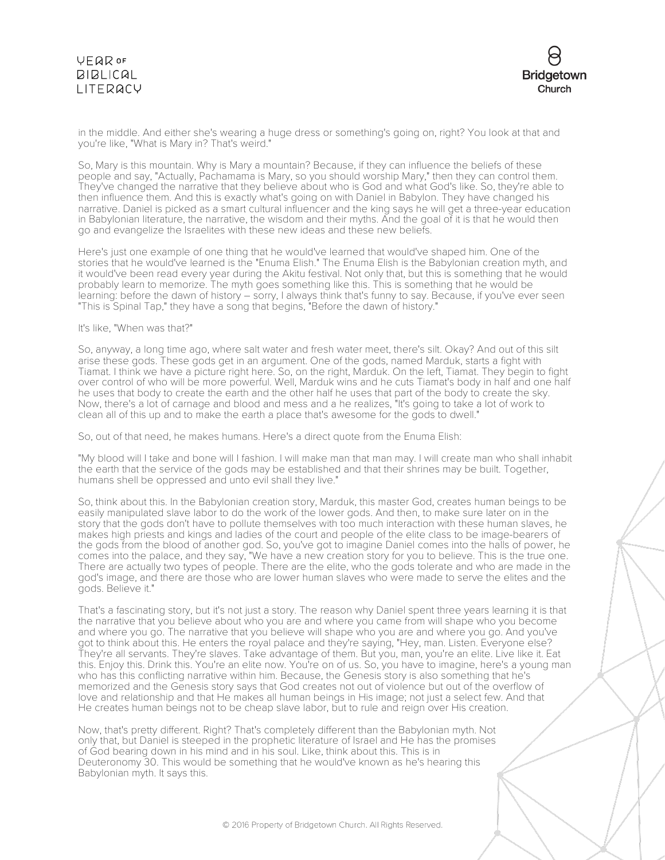

in the middle. And either she's wearing a huge dress or something's going on, right? You look at that and you're like, "What is Mary in? That's weird."

So, Mary is this mountain. Why is Mary a mountain? Because, if they can influence the beliefs of these people and say, "Actually, Pachamama is Mary, so you should worship Mary," then they can control them. They've changed the narrative that they believe about who is God and what God's like. So, they're able to then influence them. And this is exactly what's going on with Daniel in Babylon. They have changed his narrative. Daniel is picked as a smart cultural influencer and the king says he will get a three-year education in Babylonian literature, the narrative, the wisdom and their myths. And the goal of it is that he would then go and evangelize the Israelites with these new ideas and these new beliefs.

Here's just one example of one thing that he would've learned that would've shaped him. One of the stories that he would've learned is the "Enuma Elish." The Enuma Elish is the Babylonian creation myth, and it would've been read every year during the Akitu festival. Not only that, but this is something that he would probably learn to memorize. The myth goes something like this. This is something that he would be learning: before the dawn of history – sorry, I always think that's funny to say. Because, if you've ever seen "This is Spinal Tap," they have a song that begins, "Before the dawn of history."

### It's like, "When was that?"

So, anyway, a long time ago, where salt water and fresh water meet, there's silt. Okay? And out of this silt arise these gods. These gods get in an argument. One of the gods, named Marduk, starts a fight with Tiamat. I think we have a picture right here. So, on the right, Marduk. On the left, Tiamat. They begin to fight over control of who will be more powerful. Well, Marduk wins and he cuts Tiamat's body in half and one half he uses that body to create the earth and the other half he uses that part of the body to create the sky. Now, there's a lot of carnage and blood and mess and a he realizes, "It's going to take a lot of work to clean all of this up and to make the earth a place that's awesome for the gods to dwell."

So, out of that need, he makes humans. Here's a direct quote from the Enuma Elish:

"My blood will I take and bone will I fashion. I will make man that man may. I will create man who shall inhabit the earth that the service of the gods may be established and that their shrines may be built. Together, humans shell be oppressed and unto evil shall they live."

So, think about this. In the Babylonian creation story, Marduk, this master God, creates human beings to be easily manipulated slave labor to do the work of the lower gods. And then, to make sure later on in the story that the gods don't have to pollute themselves with too much interaction with these human slaves, he makes high priests and kings and ladies of the court and people of the elite class to be image-bearers of the gods from the blood of another god. So, you've got to imagine Daniel comes into the halls of power, he comes into the palace, and they say, "We have a new creation story for you to believe. This is the true one. There are actually two types of people. There are the elite, who the gods tolerate and who are made in the god's image, and there are those who are lower human slaves who were made to serve the elites and the gods. Believe it."

That's a fascinating story, but it's not just a story. The reason why Daniel spent three years learning it is that the narrative that you believe about who you are and where you came from will shape who you become and where you go. The narrative that you believe will shape who you are and where you go. And you've got to think about this. He enters the royal palace and they're saying, "Hey, man. Listen. Everyone else? They're all servants. They're slaves. Take advantage of them. But you, man, you're an elite. Live like it. Eat this. Enjoy this. Drink this. You're an elite now. You're on of us. So, you have to imagine, here's a young man who has this conflicting narrative within him. Because, the Genesis story is also something that he's memorized and the Genesis story says that God creates not out of violence but out of the overflow of love and relationship and that He makes all human beings in His image; not just a select few. And that He creates human beings not to be cheap slave labor, but to rule and reign over His creation.

Now, that's pretty different. Right? That's completely different than the Babylonian myth. Not only that, but Daniel is steeped in the prophetic literature of Israel and He has the promises of God bearing down in his mind and in his soul. Like, think about this. This is in Deuteronomy 30. This would be something that he would've known as he's hearing this Babylonian myth. It says this.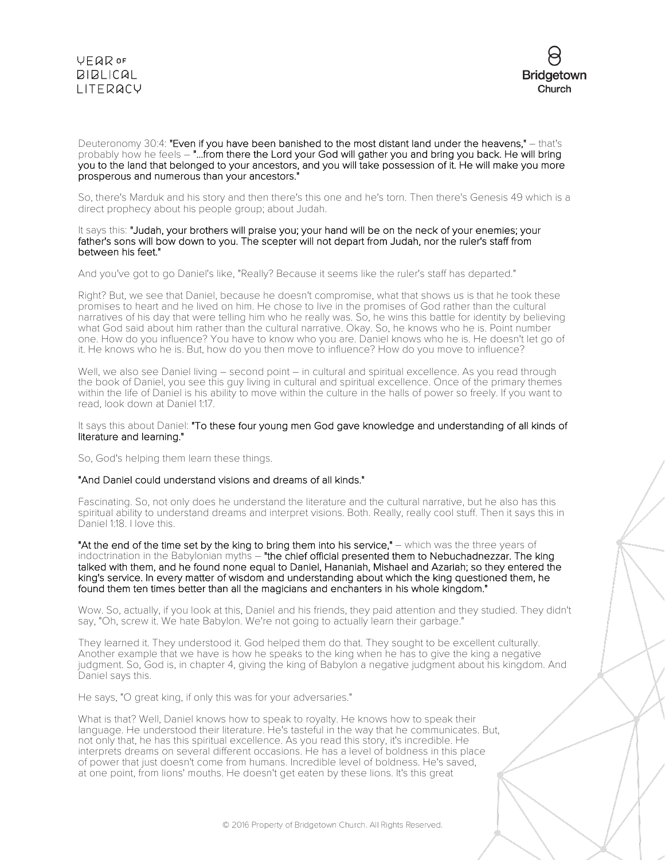

Deuteronomy 30:4: "Even if you have been banished to the most distant land under the heavens," – that's probably how he feels – "...from there the Lord your God will gather you and bring you back. He will bring you to the land that belonged to your ancestors, and you will take possession of it. He will make you more prosperous and numerous than your ancestors."

So, there's Marduk and his story and then there's this one and he's torn. Then there's Genesis 49 which is a direct prophecy about his people group; about Judah.

#### It says this: "Judah, your brothers will praise you; your hand will be on the neck of your enemies; your father's sons will bow down to you. The scepter will not depart from Judah, nor the ruler's staff from between his feet."

And you've got to go Daniel's like, "Really? Because it seems like the ruler's staff has departed."

Right? But, we see that Daniel, because he doesn't compromise, what that shows us is that he took these promises to heart and he lived on him. He chose to live in the promises of God rather than the cultural narratives of his day that were telling him who he really was. So, he wins this battle for identity by believing what God said about him rather than the cultural narrative. Okay. So, he knows who he is. Point number one. How do you influence? You have to know who you are. Daniel knows who he is. He doesn't let go of it. He knows who he is. But, how do you then move to influence? How do you move to influence?

Well, we also see Daniel living – second point – in cultural and spiritual excellence. As you read through the book of Daniel, you see this guy living in cultural and spiritual excellence. Once of the primary themes within the life of Daniel is his ability to move within the culture in the halls of power so freely. If you want to read, look down at Daniel 1:17.

### It says this about Daniel: "To these four young men God gave knowledge and understanding of all kinds of literature and learning."

So, God's helping them learn these things.

#### "And Daniel could understand visions and dreams of all kinds."

Fascinating. So, not only does he understand the literature and the cultural narrative, but he also has this spiritual ability to understand dreams and interpret visions. Both. Really, really cool stuff. Then it says this in Daniel 1:18. I love this.

"At the end of the time set by the king to bring them into his service," – which was the three years of indoctrination in the Babylonian myths - "the chief official presented them to Nebuchadnezzar. The king talked with them, and he found none equal to Daniel, Hananiah, Mishael and Azariah; so they entered the king's service. In every matter of wisdom and understanding about which the king questioned them, he found them ten times better than all the magicians and enchanters in his whole kingdom."

Wow. So, actually, if you look at this, Daniel and his friends, they paid attention and they studied. They didn't say, "Oh, screw it. We hate Babylon. We're not going to actually learn their garbage."

They learned it. They understood it. God helped them do that. They sought to be excellent culturally. Another example that we have is how he speaks to the king when he has to give the king a negative judgment. So, God is, in chapter 4, giving the king of Babylon a negative judgment about his kingdom. And Daniel says this.

He says, "O great king, if only this was for your adversaries."

What is that? Well, Daniel knows how to speak to royalty. He knows how to speak their language. He understood their literature. He's tasteful in the way that he communicates. But, not only that, he has this spiritual excellence. As you read this story, it's incredible. He interprets dreams on several different occasions. He has a level of boldness in this place of power that just doesn't come from humans. Incredible level of boldness. He's saved, at one point, from lions' mouths. He doesn't get eaten by these lions. It's this great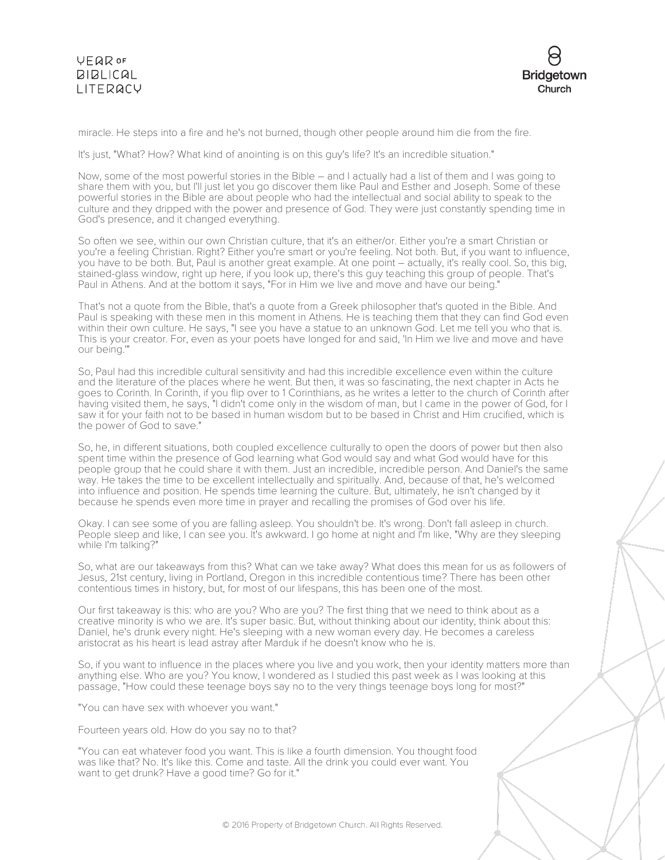

miracle. He steps into a fire and he's not burned, though other people around him die from the fire.

It's just, "What? How? What kind of anointing is on this guy's life? It's an incredible situation."

Now, some of the most powerful stories in the Bible – and I actually had a list of them and I was going to share them with you, but I'll just let you go discover them like Paul and Esther and Joseph. Some of these powerful stories in the Bible are about people who had the intellectual and social ability to speak to the culture and they dripped with the power and presence of God. They were just constantly spending time in God's presence, and it changed everything.

So often we see, within our own Christian culture, that it's an either/or. Either you're a smart Christian or you're a feeling Christian. Right? Either you're smart or you're feeling. Not both. But, if you want to influence, you have to be both. But, Paul is another great example. At one point – actually, it's really cool. So, this big, stained-glass window, right up here, if you look up, there's this guy teaching this group of people. That's Paul in Athens. And at the bottom it says, "For in Him we live and move and have our being."

That's not a quote from the Bible, that's a quote from a Greek philosopher that's quoted in the Bible. And Paul is speaking with these men in this moment in Athens. He is teaching them that they can find God even within their own culture. He says, "I see you have a statue to an unknown God. Let me tell you who that is. This is your creator. For, even as your poets have longed for and said, 'In Him we live and move and have our being.'"

So, Paul had this incredible cultural sensitivity and had this incredible excellence even within the culture and the literature of the places where he went. But then, it was so fascinating, the next chapter in Acts he goes to Corinth. In Corinth, if you flip over to 1 Corinthians, as he writes a letter to the church of Corinth after having visited them, he says, "I didn't come only in the wisdom of man, but I came in the power of God, for I saw it for your faith not to be based in human wisdom but to be based in Christ and Him crucified, which is the power of God to save."

So, he, in different situations, both coupled excellence culturally to open the doors of power but then also spent time within the presence of God learning what God would say and what God would have for this people group that he could share it with them. Just an incredible, incredible person. And Daniel's the same way. He takes the time to be excellent intellectually and spiritually. And, because of that, he's welcomed into influence and position. He spends time learning the culture. But, ultimately, he isn't changed by it because he spends even more time in prayer and recalling the promises of God over his life.

Okay. I can see some of you are falling asleep. You shouldn't be. It's wrong. Don't fall asleep in church. People sleep and like, I can see you. It's awkward. I go home at night and I'm like, "Why are they sleeping while I'm talking?"

So, what are our takeaways from this? What can we take away? What does this mean for us as followers of Jesus, 21st century, living in Portland, Oregon in this incredible contentious time? There has been other contentious times in history, but, for most of our lifespans, this has been one of the most.

Our first takeaway is this: who are you? Who are you? The first thing that we need to think about as a creative minority is who we are. It's super basic. But, without thinking about our identity, think about this: Daniel, he's drunk every night. He's sleeping with a new woman every day. He becomes a careless aristocrat as his heart is lead astray after Marduk if he doesn't know who he is.

So, if you want to influence in the places where you live and you work, then your identity matters more than anything else. Who are you? You know, I wondered as I studied this past week as I was looking at this passage, "How could these teenage boys say no to the very things teenage boys long for most?"

"You can have sex with whoever you want."

Fourteen years old. How do you say no to that?

"You can eat whatever food you want. This is like a fourth dimension. You thought food was like that? No. It's like this. Come and taste. All the drink you could ever want. You want to get drunk? Have a good time? Go for it."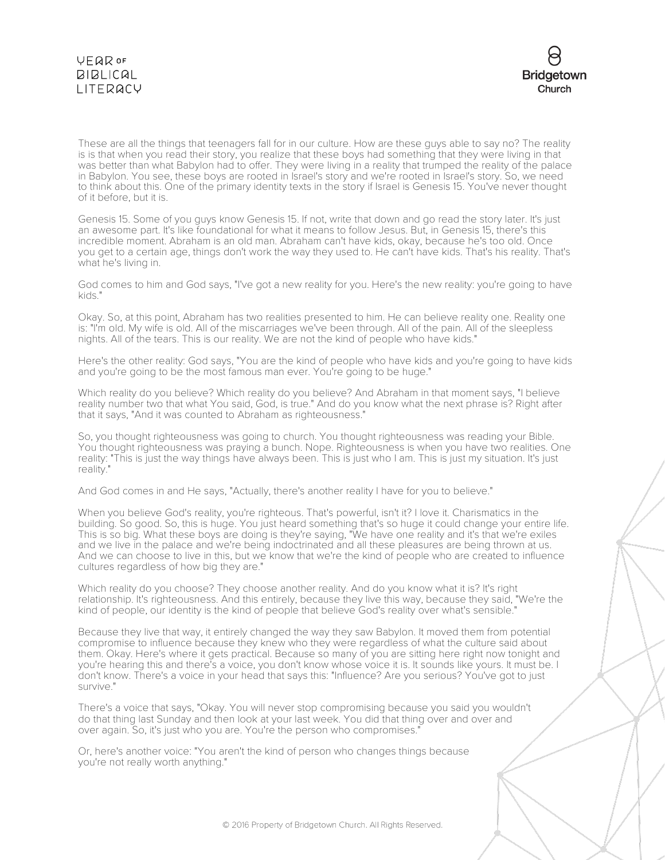

These are all the things that teenagers fall for in our culture. How are these guys able to say no? The reality is is that when you read their story, you realize that these boys had something that they were living in that was better than what Babylon had to offer. They were living in a reality that trumped the reality of the palace in Babylon. You see, these boys are rooted in Israel's story and we're rooted in Israel's story. So, we need to think about this. One of the primary identity texts in the story if Israel is Genesis 15. You've never thought of it before, but it is.

Genesis 15. Some of you guys know Genesis 15. If not, write that down and go read the story later. It's just an awesome part. It's like foundational for what it means to follow Jesus. But, in Genesis 15, there's this incredible moment. Abraham is an old man. Abraham can't have kids, okay, because he's too old. Once you get to a certain age, things don't work the way they used to. He can't have kids. That's his reality. That's what he's living in.

God comes to him and God says, "I've got a new reality for you. Here's the new reality: you're going to have kids."

Okay. So, at this point, Abraham has two realities presented to him. He can believe reality one. Reality one is: "I'm old. My wife is old. All of the miscarriages we've been through. All of the pain. All of the sleepless nights. All of the tears. This is our reality. We are not the kind of people who have kids."

Here's the other reality: God says, "You are the kind of people who have kids and you're going to have kids and you're going to be the most famous man ever. You're going to be huge."

Which reality do you believe? Which reality do you believe? And Abraham in that moment says, "I believe reality number two that what You said, God, is true." And do you know what the next phrase is? Right after that it says, "And it was counted to Abraham as righteousness."

So, you thought righteousness was going to church. You thought righteousness was reading your Bible. You thought righteousness was praying a bunch. Nope. Righteousness is when you have two realities. One reality: "This is just the way things have always been. This is just who I am. This is just my situation. It's just reality.

And God comes in and He says, "Actually, there's another reality I have for you to believe."

When you believe God's reality, you're righteous. That's powerful, isn't it? I love it. Charismatics in the building. So good. So, this is huge. You just heard something that's so huge it could change your entire life. This is so big. What these boys are doing is they're saying, "We have one reality and it's that we're exiles and we live in the palace and we're being indoctrinated and all these pleasures are being thrown at us. And we can choose to live in this, but we know that we're the kind of people who are created to influence cultures regardless of how big they are."

Which reality do you choose? They choose another reality. And do you know what it is? It's right relationship. It's righteousness. And this entirely, because they live this way, because they said, "We're the kind of people, our identity is the kind of people that believe God's reality over what's sensible."

Because they live that way, it entirely changed the way they saw Babylon. It moved them from potential compromise to influence because they knew who they were regardless of what the culture said about them. Okay. Here's where it gets practical. Because so many of you are sitting here right now tonight and you're hearing this and there's a voice, you don't know whose voice it is. It sounds like yours. It must be. I don't know. There's a voice in your head that says this: "Influence? Are you serious? You've got to just survive."

There's a voice that says, "Okay. You will never stop compromising because you said you wouldn't do that thing last Sunday and then look at your last week. You did that thing over and over and over again. So, it's just who you are. You're the person who compromises."

Or, here's another voice: "You aren't the kind of person who changes things because you're not really worth anything."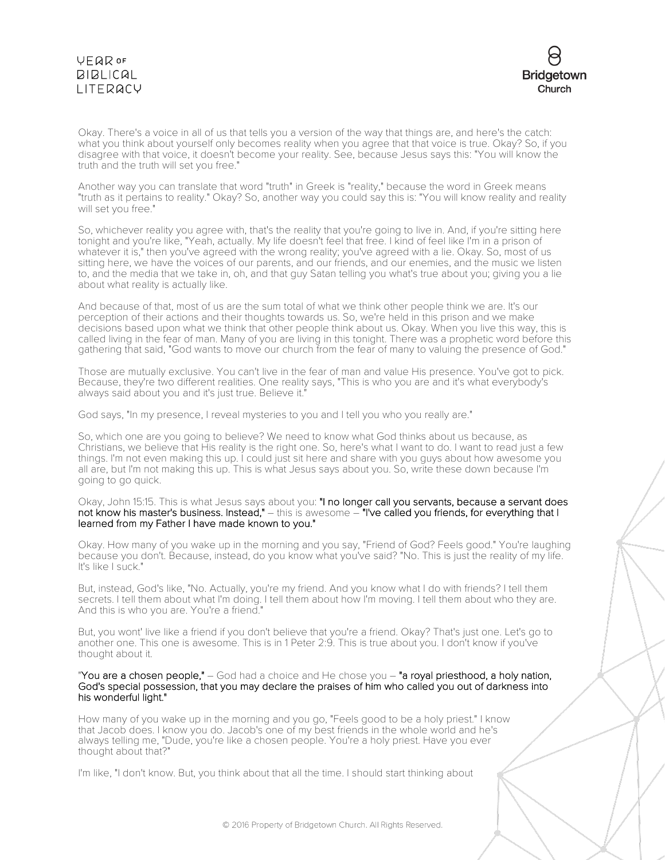

Okay. There's a voice in all of us that tells you a version of the way that things are, and here's the catch: what you think about yourself only becomes reality when you agree that that voice is true. Okay? So, if you disagree with that voice, it doesn't become your reality. See, because Jesus says this: "You will know the truth and the truth will set you free."

Another way you can translate that word "truth" in Greek is "reality," because the word in Greek means "truth as it pertains to reality." Okay? So, another way you could say this is: "You will know reality and reality will set you free."

So, whichever reality you agree with, that's the reality that you're going to live in. And, if you're sitting here tonight and you're like, "Yeah, actually. My life doesn't feel that free. I kind of feel like I'm in a prison of whatever it is," then you've agreed with the wrong reality; you've agreed with a lie. Okay. So, most of us sitting here, we have the voices of our parents, and our friends, and our enemies, and the music we listen to, and the media that we take in, oh, and that guy Satan telling you what's true about you; giving you a lie about what reality is actually like.

And because of that, most of us are the sum total of what we think other people think we are. It's our perception of their actions and their thoughts towards us. So, we're held in this prison and we make decisions based upon what we think that other people think about us. Okay. When you live this way, this is called living in the fear of man. Many of you are living in this tonight. There was a prophetic word before this gathering that said, "God wants to move our church from the fear of many to valuing the presence of God."

Those are mutually exclusive. You can't live in the fear of man and value His presence. You've got to pick. Because, they're two different realities. One reality says, "This is who you are and it's what everybody's always said about you and it's just true. Believe it."

God says, "In my presence, I reveal mysteries to you and I tell you who you really are."

So, which one are you going to believe? We need to know what God thinks about us because, as Christians, we believe that His reality is the right one. So, here's what I want to do. I want to read just a few things. I'm not even making this up. I could just sit here and share with you guys about how awesome you all are, but I'm not making this up. This is what Jesus says about you. So, write these down because I'm going to go quick.

Okay, John 15:15. This is what Jesus says about you: "I no longer call you servants, because a servant does not know his master's business. Instead," – this is awesome – "I've called you friends, for everything that I learned from my Father I have made known to you."

Okay. How many of you wake up in the morning and you say, "Friend of God? Feels good." You're laughing because you don't. Because, instead, do you know what you've said? "No. This is just the reality of my life. It's like I suck."

But, instead, God's like, "No. Actually, you're my friend. And you know what I do with friends? I tell them secrets. I tell them about what I'm doing. I tell them about how I'm moving. I tell them about who they are. And this is who you are. You're a friend."

But, you wont' live like a friend if you don't believe that you're a friend. Okay? That's just one. Let's go to another one. This one is awesome. This is in 1 Peter 2:9. This is true about you. I don't know if you've thought about it.

"You are a chosen people," - God had a choice and He chose you - "a royal priesthood, a holy nation, God's special possession, that you may declare the praises of him who called you out of darkness into his wonderful light."

How many of you wake up in the morning and you go, "Feels good to be a holy priest." I know that Jacob does. I know you do. Jacob's one of my best friends in the whole world and he's always telling me, "Dude, you're like a chosen people. You're a holy priest. Have you ever thought about that?"

I'm like, "I don't know. But, you think about that all the time. I should start thinking about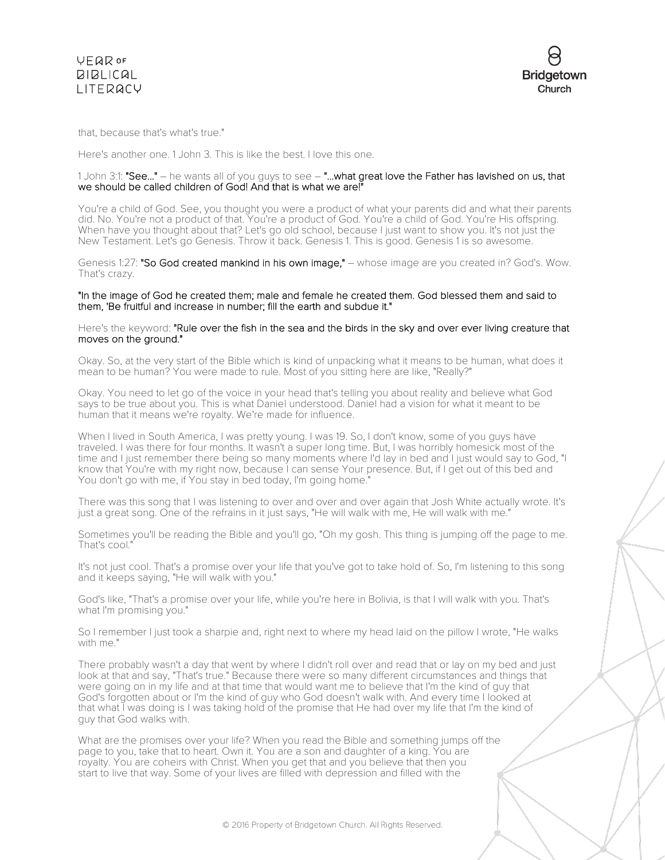



that, because that's what's true."

Here's another one. 1 John 3. This is like the best. I love this one.

#### 1 John 3:1: "See..." – he wants all of you guys to see – "...what great love the Father has lavished on us, that we should be called children of God! And that is what we are!"

You're a child of God. See, you thought you were a product of what your parents did and what their parents did. No. You're not a product of that. You're a product of God. You're a child of God. You're His offspring. When have you thought about that? Let's go old school, because I just want to show you. It's not just the New Testament. Let's go Genesis. Throw it back. Genesis 1. This is good. Genesis 1 is so awesome.

Genesis 1:27: "So God created mankind in his own image," - whose image are you created in? God's. Wow. That's crazy.

### "In the image of God he created them; male and female he created them. God blessed them and said to them, 'Be fruitful and increase in number; fill the earth and subdue it."

Here's the keyword: "Rule over the fish in the sea and the birds in the sky and over ever living creature that moves on the ground."

Okay. So, at the very start of the Bible which is kind of unpacking what it means to be human, what does it mean to be human? You were made to rule. Most of you sitting here are like, "Really?"

Okay. You need to let go of the voice in your head that's telling you about reality and believe what God says to be true about you. This is what Daniel understood. Daniel had a vision for what it meant to be human that it means we're royalty. We're made for influence.

When I lived in South America, I was pretty young. I was 19. So, I don't know, some of you guys have traveled. I was there for four months. It wasn't a super long time. But, I was horribly homesick most of the time and I just remember there being so many moments where I'd lay in bed and I just would say to God, "I know that You're with my right now, because I can sense Your presence. But, if I get out of this bed and You don't go with me, if You stay in bed today, I'm going home."

There was this song that I was listening to over and over and over again that Josh White actually wrote. It's just a great song. One of the refrains in it just says, "He will walk with me, He will walk with me."

Sometimes you'll be reading the Bible and you'll go, "Oh my gosh. This thing is jumping off the page to me. That's cool."

It's not just cool. That's a promise over your life that you've got to take hold of. So, I'm listening to this song and it keeps saying, "He will walk with you."

God's like, "That's a promise over your life, while you're here in Bolivia, is that I will walk with you. That's what I'm promising you."

So I remember I just took a sharpie and, right next to where my head laid on the pillow I wrote, "He walks with me."

There probably wasn't a day that went by where I didn't roll over and read that or lay on my bed and just look at that and say, "That's true." Because there were so many different circumstances and things that were going on in my life and at that time that would want me to believe that I'm the kind of guy that God's forgotten about or I'm the kind of guy who God doesn't walk with. And every time I looked at that what I was doing is I was taking hold of the promise that He had over my life that I'm the kind of guy that God walks with.

What are the promises over your life? When you read the Bible and something jumps off the page to you, take that to heart. Own it. You are a son and daughter of a king. You are royalty. You are coheirs with Christ. When you get that and you believe that then you start to live that way. Some of your lives are filled with depression and filled with the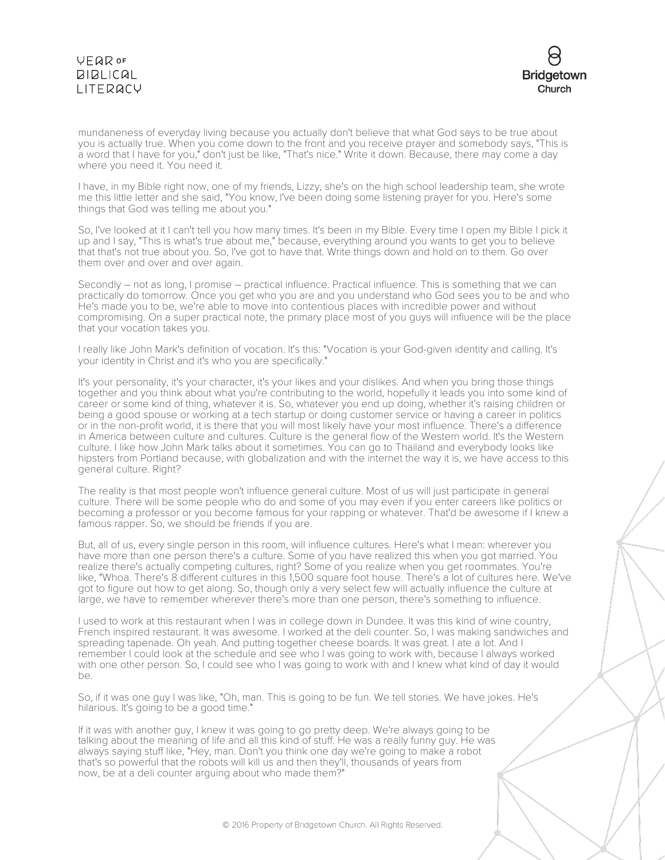

mundaneness of everyday living because you actually don't believe that what God says to be true about you is actually true. When you come down to the front and you receive prayer and somebody says, "This is a word that I have for you," don't just be like, "That's nice." Write it down. Because, there may come a day where you need it. You need it.

I have, in my Bible right now, one of my friends, Lizzy, she's on the high school leadership team, she wrote me this little letter and she said, "You know, I've been doing some listening prayer for you. Here's some things that God was telling me about you."

So, I've looked at it I can't tell you how many times. It's been in my Bible. Every time I open my Bible I pick it up and I say, "This is what's true about me," because, everything around you wants to get you to believe that that's not true about you. So, I've got to have that. Write things down and hold on to them. Go over them over and over and over again.

Secondly – not as long, I promise – practical influence. Practical influence. This is something that we can practically do tomorrow. Once you get who you are and you understand who God sees you to be and who He's made you to be, we're able to move into contentious places with incredible power and without compromising. On a super practical note, the primary place most of you guys will influence will be the place that your vocation takes you.

I really like John Mark's definition of vocation. It's this: "Vocation is your God-given identity and calling. It's your identity in Christ and it's who you are specifically."

It's your personality, it's your character, it's your likes and your dislikes. And when you bring those things together and you think about what you're contributing to the world, hopefully it leads you into some kind of career or some kind of thing, whatever it is. So, whatever you end up doing, whether it's raising children or being a good spouse or working at a tech startup or doing customer service or having a career in politics or in the non-profit world, it is there that you will most likely have your most influence. There's a difference in America between culture and cultures. Culture is the general flow of the Western world. It's the Western culture. I like how John Mark talks about it sometimes. You can go to Thailand and everybody looks like hipsters from Portland because, with globalization and with the internet the way it is, we have access to this general culture. Right?

The reality is that most people won't influence general culture. Most of us will just participate in general culture. There will be some people who do and some of you may even if you enter careers like politics or becoming a professor or you become famous for your rapping or whatever. That'd be awesome if I knew a famous rapper. So, we should be friends if you are.

But, all of us, every single person in this room, will influence cultures. Here's what I mean: wherever you have more than one person there's a culture. Some of you have realized this when you got married. You realize there's actually competing cultures, right? Some of you realize when you get roommates. You're like, "Whoa. There's 8 different cultures in this 1,500 square foot house. There's a lot of cultures here. We've got to figure out how to get along. So, though only a very select few will actually influence the culture at large, we have to remember wherever there's more than one person, there's something to influence.

I used to work at this restaurant when I was in college down in Dundee. It was this kind of wine country, French inspired restaurant. It was awesome. I worked at the deli counter. So, I was making sandwiches and spreading tapenade. Oh yeah. And putting together cheese boards. It was great. I ate a lot. And I remember I could look at the schedule and see who I was going to work with, because I always worked with one other person. So, I could see who I was going to work with and I knew what kind of day it would be.

So, if it was one guy I was like, "Oh, man. This is going to be fun. We tell stories. We have jokes. He's hilarious. It's going to be a good time."

If it was with another guy, I knew it was going to go pretty deep. We're always going to be talking about the meaning of life and all this kind of stuff. He was a really funny guy. He was always saying stuff like, "Hey, man. Don't you think one day we're going to make a robot that's so powerful that the robots will kill us and then they'll, thousands of years from now, be at a deli counter arguing about who made them?"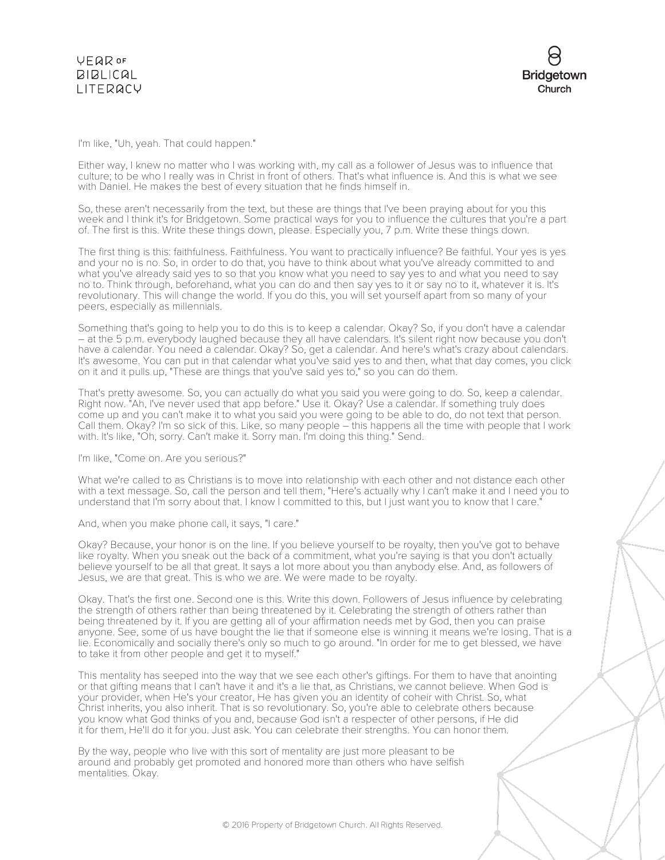

### I'm like, "Uh, yeah. That could happen."

Either way, I knew no matter who I was working with, my call as a follower of Jesus was to influence that culture; to be who I really was in Christ in front of others. That's what influence is. And this is what we see with Daniel. He makes the best of every situation that he finds himself in.

So, these aren't necessarily from the text, but these are things that I've been praying about for you this week and I think it's for Bridgetown. Some practical ways for you to influence the cultures that you're a part of. The first is this. Write these things down, please. Especially you, 7 p.m. Write these things down.

The first thing is this: faithfulness. Faithfulness. You want to practically influence? Be faithful. Your yes is yes and your no is no. So, in order to do that, you have to think about what you've already committed to and what you've already said yes to so that you know what you need to say yes to and what you need to say no to. Think through, beforehand, what you can do and then say yes to it or say no to it, whatever it is. It's revolutionary. This will change the world. If you do this, you will set yourself apart from so many of your peers, especially as millennials.

Something that's going to help you to do this is to keep a calendar. Okay? So, if you don't have a calendar – at the 5 p.m. everybody laughed because they all have calendars. It's silent right now because you don't have a calendar. You need a calendar. Okay? So, get a calendar. And here's what's crazy about calendars. It's awesome. You can put in that calendar what you've said yes to and then, what that day comes, you click on it and it pulls up, "These are things that you've said yes to," so you can do them.

That's pretty awesome. So, you can actually do what you said you were going to do. So, keep a calendar. Right now. "Ah, I've never used that app before." Use it. Okay? Use a calendar. If something truly does come up and you can't make it to what you said you were going to be able to do, do not text that person. Call them. Okay? I'm so sick of this. Like, so many people – this happens all the time with people that I work with. It's like, "Oh, sorry. Can't make it. Sorry man. I'm doing this thing." Send.

#### I'm like, "Come on. Are you serious?"

What we're called to as Christians is to move into relationship with each other and not distance each other with a text message. So, call the person and tell them, "Here's actually why I can't make it and I need you to understand that I'm sorry about that. I know I committed to this, but I just want you to know that I care."

#### And, when you make phone call, it says, "I care."

Okay? Because, your honor is on the line. If you believe yourself to be royalty, then you've got to behave like royalty. When you sneak out the back of a commitment, what you're saying is that you don't actually believe yourself to be all that great. It says a lot more about you than anybody else. And, as followers of Jesus, we are that great. This is who we are. We were made to be royalty.

Okay. That's the first one. Second one is this. Write this down. Followers of Jesus influence by celebrating the strength of others rather than being threatened by it. Celebrating the strength of others rather than being threatened by it. If you are getting all of your affirmation needs met by God, then you can praise anyone. See, some of us have bought the lie that if someone else is winning it means we're losing. That is a lie. Economically and socially there's only so much to go around. "In order for me to get blessed, we have to take it from other people and get it to myself."

This mentality has seeped into the way that we see each other's giftings. For them to have that anointing or that gifting means that I can't have it and it's a lie that, as Christians, we cannot believe. When God is your provider, when He's your creator, He has given you an identity of coheir with Christ. So, what Christ inherits, you also inherit. That is so revolutionary. So, you're able to celebrate others because you know what God thinks of you and, because God isn't a respecter of other persons, if He did it for them, He'll do it for you. Just ask. You can celebrate their strengths. You can honor them.

By the way, people who live with this sort of mentality are just more pleasant to be around and probably get promoted and honored more than others who have selfish mentalities. Okay.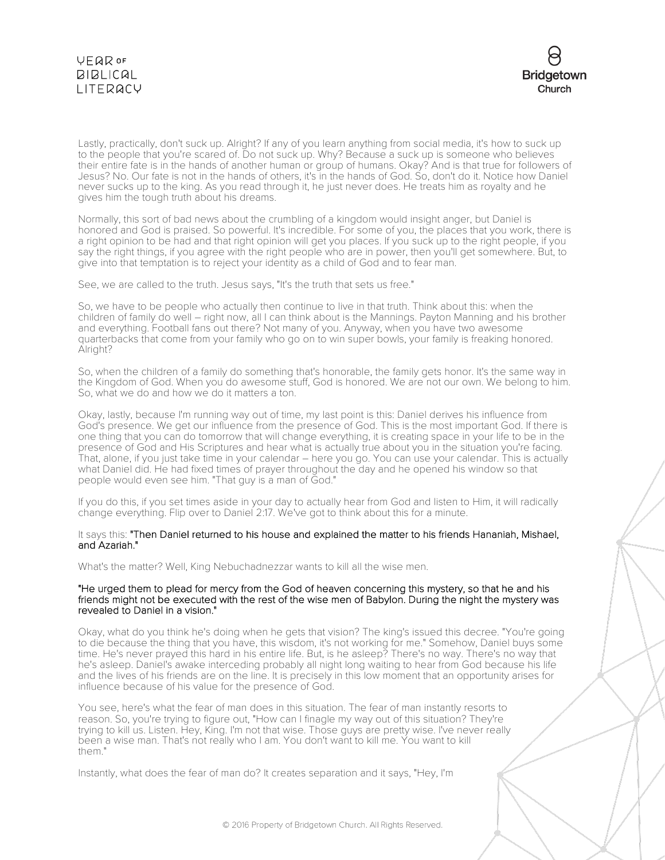

Lastly, practically, don't suck up. Alright? If any of you learn anything from social media, it's how to suck up to the people that you're scared of. Do not suck up. Why? Because a suck up is someone who believes their entire fate is in the hands of another human or group of humans. Okay? And is that true for followers of Jesus? No. Our fate is not in the hands of others, it's in the hands of God. So, don't do it. Notice how Daniel never sucks up to the king. As you read through it, he just never does. He treats him as royalty and he gives him the tough truth about his dreams.

Normally, this sort of bad news about the crumbling of a kingdom would insight anger, but Daniel is honored and God is praised. So powerful. It's incredible. For some of you, the places that you work, there is a right opinion to be had and that right opinion will get you places. If you suck up to the right people, if you say the right things, if you agree with the right people who are in power, then you'll get somewhere. But, to give into that temptation is to reject your identity as a child of God and to fear man.

See, we are called to the truth. Jesus says, "It's the truth that sets us free."

So, we have to be people who actually then continue to live in that truth. Think about this: when the children of family do well – right now, all I can think about is the Mannings. Payton Manning and his brother and everything. Football fans out there? Not many of you. Anyway, when you have two awesome quarterbacks that come from your family who go on to win super bowls, your family is freaking honored. Alright?

So, when the children of a family do something that's honorable, the family gets honor. It's the same way in the Kingdom of God. When you do awesome stuff, God is honored. We are not our own. We belong to him. So, what we do and how we do it matters a ton.

Okay, lastly, because I'm running way out of time, my last point is this: Daniel derives his influence from God's presence. We get our influence from the presence of God. This is the most important God. If there is one thing that you can do tomorrow that will change everything, it is creating space in your life to be in the presence of God and His Scriptures and hear what is actually true about you in the situation you're facing. That, alone, if you just take time in your calendar – here you go. You can use your calendar. This is actually what Daniel did. He had fixed times of prayer throughout the day and he opened his window so that people would even see him. "That guy is a man of God."

If you do this, if you set times aside in your day to actually hear from God and listen to Him, it will radically change everything. Flip over to Daniel 2:17. We've got to think about this for a minute.

### It says this: "Then Daniel returned to his house and explained the matter to his friends Hananiah, Mishael, and Azariah."

What's the matter? Well, King Nebuchadnezzar wants to kill all the wise men.

#### "He urged them to plead for mercy from the God of heaven concerning this mystery, so that he and his friends might not be executed with the rest of the wise men of Babylon. During the night the mystery was revealed to Daniel in a vision."

Okay, what do you think he's doing when he gets that vision? The king's issued this decree. "You're going to die because the thing that you have, this wisdom, it's not working for me." Somehow, Daniel buys some time. He's never prayed this hard in his entire life. But, is he asleep? There's no way. There's no way that he's asleep. Daniel's awake interceding probably all night long waiting to hear from God because his life and the lives of his friends are on the line. It is precisely in this low moment that an opportunity arises for influence because of his value for the presence of God.

You see, here's what the fear of man does in this situation. The fear of man instantly resorts to reason. So, you're trying to figure out, "How can I finagle my way out of this situation? They're trying to kill us. Listen. Hey, King. I'm not that wise. Those guys are pretty wise. I've never really been a wise man. That's not really who I am. You don't want to kill me. You want to kill them."

Instantly, what does the fear of man do? It creates separation and it says, "Hey, I'm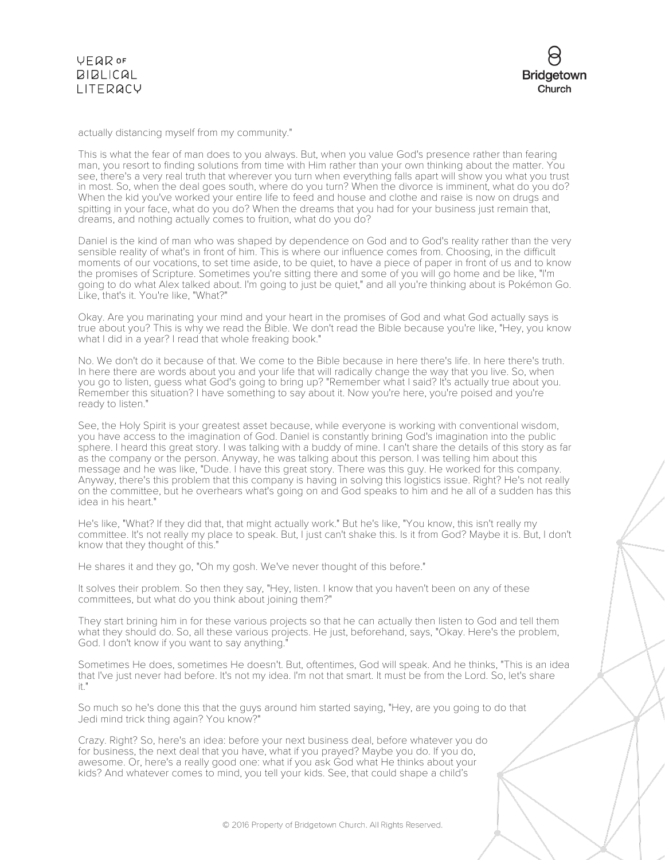actually distancing myself from my community."

This is what the fear of man does to you always. But, when you value God's presence rather than fearing man, you resort to finding solutions from time with Him rather than your own thinking about the matter. You see, there's a very real truth that wherever you turn when everything falls apart will show you what you trust in most. So, when the deal goes south, where do you turn? When the divorce is imminent, what do you do? When the kid you've worked your entire life to feed and house and clothe and raise is now on drugs and spitting in your face, what do you do? When the dreams that you had for your business just remain that, dreams, and nothing actually comes to fruition, what do you do?

Daniel is the kind of man who was shaped by dependence on God and to God's reality rather than the very sensible reality of what's in front of him. This is where our influence comes from. Choosing, in the difficult moments of our vocations, to set time aside, to be quiet, to have a piece of paper in front of us and to know the promises of Scripture. Sometimes you're sitting there and some of you will go home and be like, "I'm going to do what Alex talked about. I'm going to just be quiet," and all you're thinking about is Pokémon Go. Like, that's it. You're like, "What?"

Okay. Are you marinating your mind and your heart in the promises of God and what God actually says is true about you? This is why we read the Bible. We don't read the Bible because you're like, "Hey, you know what I did in a year? I read that whole freaking book."

No. We don't do it because of that. We come to the Bible because in here there's life. In here there's truth. In here there are words about you and your life that will radically change the way that you live. So, when you go to listen, guess what God's going to bring up? "Remember what I said? It's actually true about you. Remember this situation? I have something to say about it. Now you're here, you're poised and you're ready to listen."

See, the Holy Spirit is your greatest asset because, while everyone is working with conventional wisdom, you have access to the imagination of God. Daniel is constantly brining God's imagination into the public sphere. I heard this great story. I was talking with a buddy of mine. I can't share the details of this story as far as the company or the person. Anyway, he was talking about this person. I was telling him about this message and he was like, "Dude. I have this great story. There was this guy. He worked for this company. Anyway, there's this problem that this company is having in solving this logistics issue. Right? He's not really on the committee, but he overhears what's going on and God speaks to him and he all of a sudden has this idea in his heart."

He's like, "What? If they did that, that might actually work." But he's like, "You know, this isn't really my committee. It's not really my place to speak. But, I just can't shake this. Is it from God? Maybe it is. But, I don't know that they thought of this."

He shares it and they go, "Oh my gosh. We've never thought of this before."

It solves their problem. So then they say, "Hey, listen. I know that you haven't been on any of these committees, but what do you think about joining them?"

They start brining him in for these various projects so that he can actually then listen to God and tell them what they should do. So, all these various projects. He just, beforehand, says, "Okay. Here's the problem, God. I don't know if you want to say anything."

Sometimes He does, sometimes He doesn't. But, oftentimes, God will speak. And he thinks, "This is an idea that I've just never had before. It's not my idea. I'm not that smart. It must be from the Lord. So, let's share it."

So much so he's done this that the guys around him started saying, "Hey, are you going to do that Jedi mind trick thing again? You know?"

Crazy. Right? So, here's an idea: before your next business deal, before whatever you do for business, the next deal that you have, what if you prayed? Maybe you do. If you do, awesome. Or, here's a really good one: what if you ask God what He thinks about your kids? And whatever comes to mind, you tell your kids. See, that could shape a child's